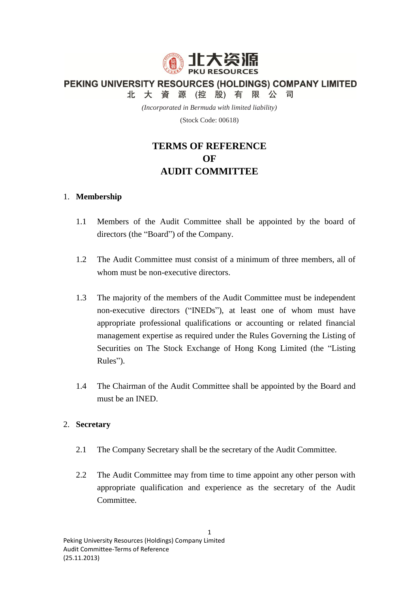

PEKING UNIVERSITY RESOURCES (HOLDINGS) COMPANY LIMITED

北大資源(控股)有限公司

*(Incorporated in Bermuda with limited liability)*

(Stock Code: 00618)

# **TERMS OF REFERENCE OF AUDIT COMMITTEE**

### 1. **Membership**

- 1.1 Members of the Audit Committee shall be appointed by the board of directors (the "Board") of the Company.
- 1.2 The Audit Committee must consist of a minimum of three members, all of whom must be non-executive directors.
- 1.3 The majority of the members of the Audit Committee must be independent non-executive directors ("INEDs"), at least one of whom must have appropriate professional qualifications or accounting or related financial management expertise as required under the Rules Governing the Listing of Securities on The Stock Exchange of Hong Kong Limited (the "Listing Rules").
- 1.4 The Chairman of the Audit Committee shall be appointed by the Board and must be an INED.

### 2. **Secretary**

- 2.1 The Company Secretary shall be the secretary of the Audit Committee.
- 2.2 The Audit Committee may from time to time appoint any other person with appropriate qualification and experience as the secretary of the Audit Committee.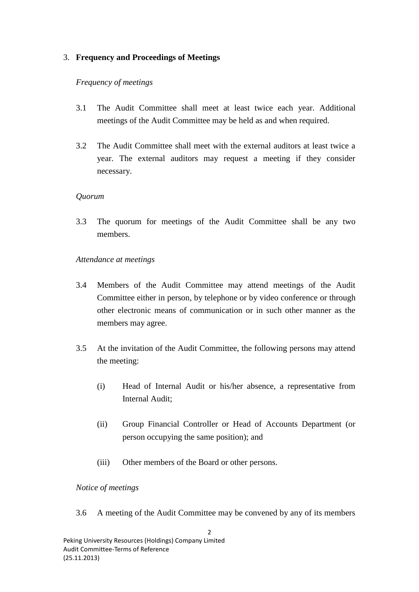# 3. **Frequency and Proceedings of Meetings**

### *Frequency of meetings*

- 3.1 The Audit Committee shall meet at least twice each year. Additional meetings of the Audit Committee may be held as and when required.
- 3.2 The Audit Committee shall meet with the external auditors at least twice a year. The external auditors may request a meeting if they consider necessary.

#### *Quorum*

3.3 The quorum for meetings of the Audit Committee shall be any two members.

#### *Attendance at meetings*

- 3.4 Members of the Audit Committee may attend meetings of the Audit Committee either in person, by telephone or by video conference or through other electronic means of communication or in such other manner as the members may agree.
- 3.5 At the invitation of the Audit Committee, the following persons may attend the meeting:
	- (i) Head of Internal Audit or his/her absence, a representative from Internal Audit;
	- (ii) Group Financial Controller or Head of Accounts Department (or person occupying the same position); and
	- (iii) Other members of the Board or other persons.

### *Notice of meetings*

3.6 A meeting of the Audit Committee may be convened by any of its members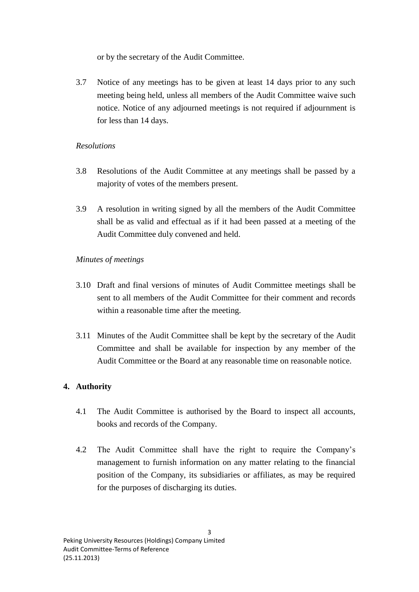or by the secretary of the Audit Committee.

3.7 Notice of any meetings has to be given at least 14 days prior to any such meeting being held, unless all members of the Audit Committee waive such notice. Notice of any adjourned meetings is not required if adjournment is for less than 14 days.

# *Resolutions*

- 3.8 Resolutions of the Audit Committee at any meetings shall be passed by a majority of votes of the members present.
- 3.9 A resolution in writing signed by all the members of the Audit Committee shall be as valid and effectual as if it had been passed at a meeting of the Audit Committee duly convened and held.

# *Minutes of meetings*

- 3.10 Draft and final versions of minutes of Audit Committee meetings shall be sent to all members of the Audit Committee for their comment and records within a reasonable time after the meeting.
- 3.11 Minutes of the Audit Committee shall be kept by the secretary of the Audit Committee and shall be available for inspection by any member of the Audit Committee or the Board at any reasonable time on reasonable notice.

# **4. Authority**

- 4.1 The Audit Committee is authorised by the Board to inspect all accounts, books and records of the Company.
- 4.2 The Audit Committee shall have the right to require the Company's management to furnish information on any matter relating to the financial position of the Company, its subsidiaries or affiliates, as may be required for the purposes of discharging its duties.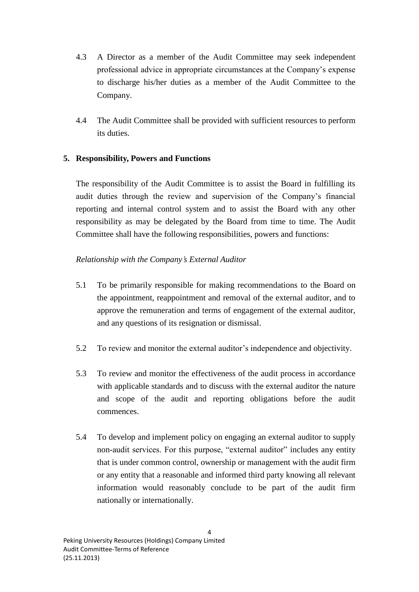- 4.3 A Director as a member of the Audit Committee may seek independent professional advice in appropriate circumstances at the Company's expense to discharge his/her duties as a member of the Audit Committee to the Company.
- 4.4 The Audit Committee shall be provided with sufficient resources to perform its duties.

# **5. Responsibility, Powers and Functions**

The responsibility of the Audit Committee is to assist the Board in fulfilling its audit duties through the review and supervision of the Company's financial reporting and internal control system and to assist the Board with any other responsibility as may be delegated by the Board from time to time. The Audit Committee shall have the following responsibilities, powers and functions:

# *Relationship with the Company's External Auditor*

- 5.1 To be primarily responsible for making recommendations to the Board on the appointment, reappointment and removal of the external auditor, and to approve the remuneration and terms of engagement of the external auditor, and any questions of its resignation or dismissal.
- 5.2 To review and monitor the external auditor's independence and objectivity.
- 5.3 To review and monitor the effectiveness of the audit process in accordance with applicable standards and to discuss with the external auditor the nature and scope of the audit and reporting obligations before the audit commences.
- 5.4 To develop and implement policy on engaging an external auditor to supply non-audit services. For this purpose, "external auditor" includes any entity that is under common control, ownership or management with the audit firm or any entity that a reasonable and informed third party knowing all relevant information would reasonably conclude to be part of the audit firm nationally or internationally.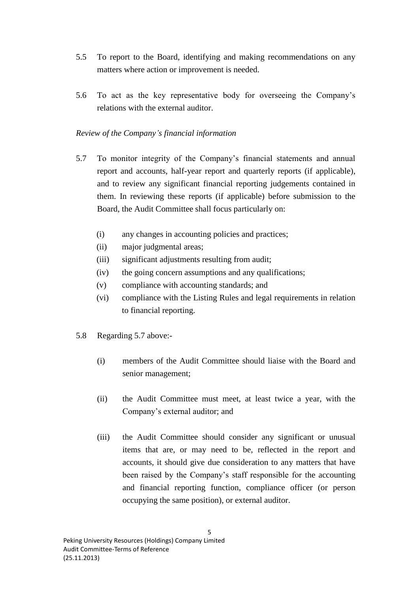- 5.5 To report to the Board, identifying and making recommendations on any matters where action or improvement is needed.
- 5.6 To act as the key representative body for overseeing the Company's relations with the external auditor.

# *Review of the Company's financial information*

- 5.7 To monitor integrity of the Company's financial statements and annual report and accounts, half-year report and quarterly reports (if applicable), and to review any significant financial reporting judgements contained in them. In reviewing these reports (if applicable) before submission to the Board, the Audit Committee shall focus particularly on:
	- (i) any changes in accounting policies and practices;
	- (ii) major judgmental areas;
	- (iii) significant adjustments resulting from audit;
	- (iv) the going concern assumptions and any qualifications;
	- (v) compliance with accounting standards; and
	- (vi) compliance with the Listing Rules and legal requirements in relation to financial reporting.
- 5.8 Regarding 5.7 above:-
	- (i) members of the Audit Committee should liaise with the Board and senior management;
	- (ii) the Audit Committee must meet, at least twice a year, with the Company's external auditor; and
	- (iii) the Audit Committee should consider any significant or unusual items that are, or may need to be, reflected in the report and accounts, it should give due consideration to any matters that have been raised by the Company's staff responsible for the accounting and financial reporting function, compliance officer (or person occupying the same position), or external auditor.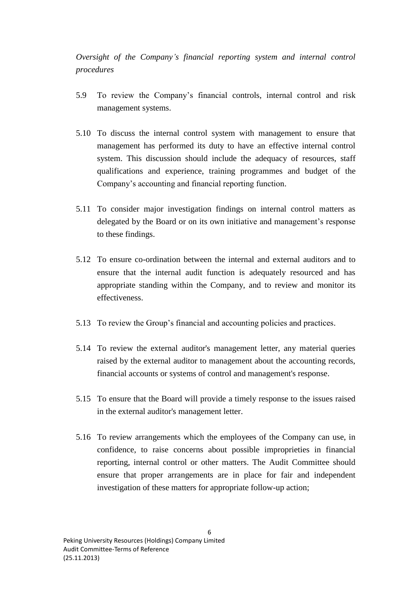*Oversight of the Company's financial reporting system and internal control procedures*

- 5.9 To review the Company's financial controls, internal control and risk management systems.
- 5.10 To discuss the internal control system with management to ensure that management has performed its duty to have an effective internal control system. This discussion should include the adequacy of resources, staff qualifications and experience, training programmes and budget of the Company's accounting and financial reporting function.
- 5.11 To consider major investigation findings on internal control matters as delegated by the Board or on its own initiative and management's response to these findings.
- 5.12 To ensure co-ordination between the internal and external auditors and to ensure that the internal audit function is adequately resourced and has appropriate standing within the Company, and to review and monitor its effectiveness.
- 5.13 To review the Group's financial and accounting policies and practices.
- 5.14 To review the external auditor's management letter, any material queries raised by the external auditor to management about the accounting records, financial accounts or systems of control and management's response.
- 5.15 To ensure that the Board will provide a timely response to the issues raised in the external auditor's management letter.
- 5.16 To review arrangements which the employees of the Company can use, in confidence, to raise concerns about possible improprieties in financial reporting, internal control or other matters. The Audit Committee should ensure that proper arrangements are in place for fair and independent investigation of these matters for appropriate follow-up action;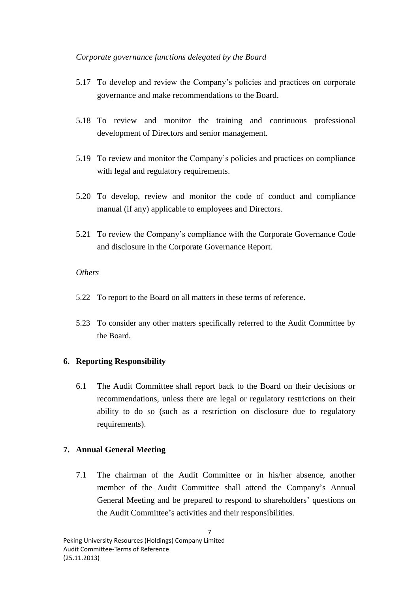## *Corporate governance functions delegated by the Board*

- 5.17 To develop and review the Company's policies and practices on corporate governance and make recommendations to the Board.
- 5.18 To review and monitor the training and continuous professional development of Directors and senior management.
- 5.19 To review and monitor the Company's policies and practices on compliance with legal and regulatory requirements.
- 5.20 To develop, review and monitor the code of conduct and compliance manual (if any) applicable to employees and Directors.
- 5.21 To review the Company's compliance with the Corporate Governance Code and disclosure in the Corporate Governance Report.

# *Others*

- 5.22 To report to the Board on all matters in these terms of reference.
- 5.23 To consider any other matters specifically referred to the Audit Committee by the Board.

# **6. Reporting Responsibility**

6.1 The Audit Committee shall report back to the Board on their decisions or recommendations, unless there are legal or regulatory restrictions on their ability to do so (such as a restriction on disclosure due to regulatory requirements).

# **7. Annual General Meeting**

7.1 The chairman of the Audit Committee or in his/her absence, another member of the Audit Committee shall attend the Company's Annual General Meeting and be prepared to respond to shareholders' questions on the Audit Committee's activities and their responsibilities.